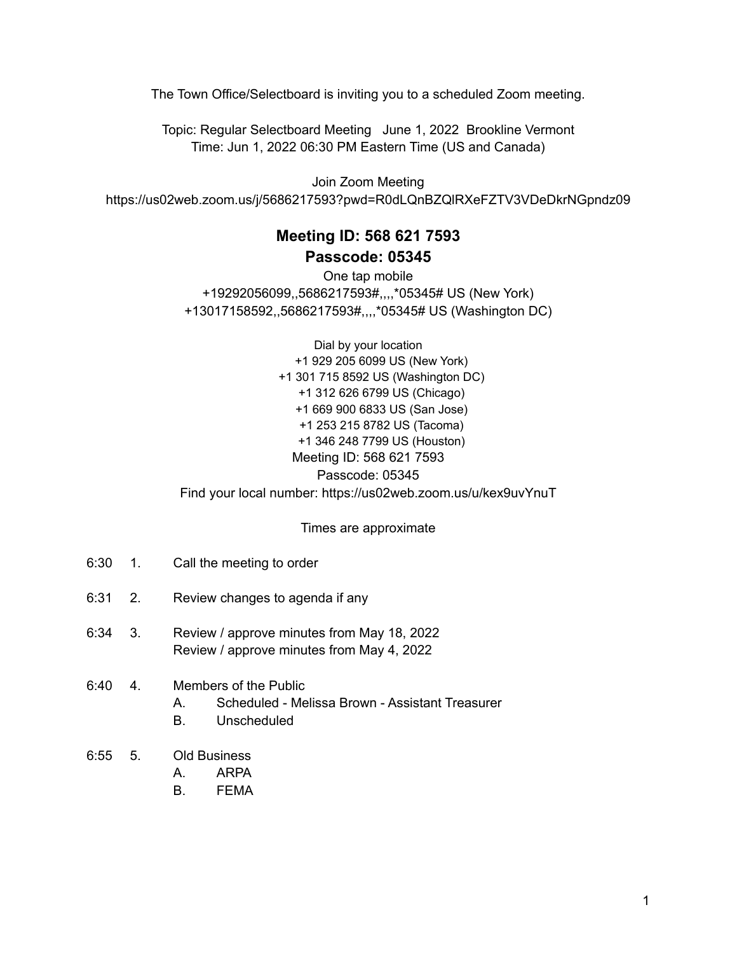The Town Office/Selectboard is inviting you to a scheduled Zoom meeting.

Topic: Regular Selectboard Meeting June 1, 2022 Brookline Vermont Time: Jun 1, 2022 06:30 PM Eastern Time (US and Canada)

Join Zoom Meeting https://us02web.zoom.us/j/5686217593?pwd=R0dLQnBZQlRXeFZTV3VDeDkrNGpndz09

## **Meeting ID: 568 621 7593 Passcode: 05345**

One tap mobile +19292056099,,5686217593#,,,,\*05345# US (New York) +13017158592,,5686217593#,,,,\*05345# US (Washington DC)

Dial by your location +1 929 205 6099 US (New York) +1 301 715 8592 US (Washington DC) +1 312 626 6799 US (Chicago) +1 669 900 6833 US (San Jose) +1 253 215 8782 US (Tacoma) +1 346 248 7799 US (Houston) Meeting ID: 568 621 7593 Passcode: 05345 Find your local number: https://us02web.zoom.us/u/kex9uvYnuT

Times are approximate

- 6:30 1. Call the meeting to order
- 6:31 2. Review changes to agenda if any
- 6:34 3. Review / approve minutes from May 18, 2022 Review / approve minutes from May 4, 2022

## 6:40 4. Members of the Public

- A. Scheduled Melissa Brown Assistant Treasurer
- B. Unscheduled
- 6:55 5. Old Business
	- A. ARPA
		- B. FEMA